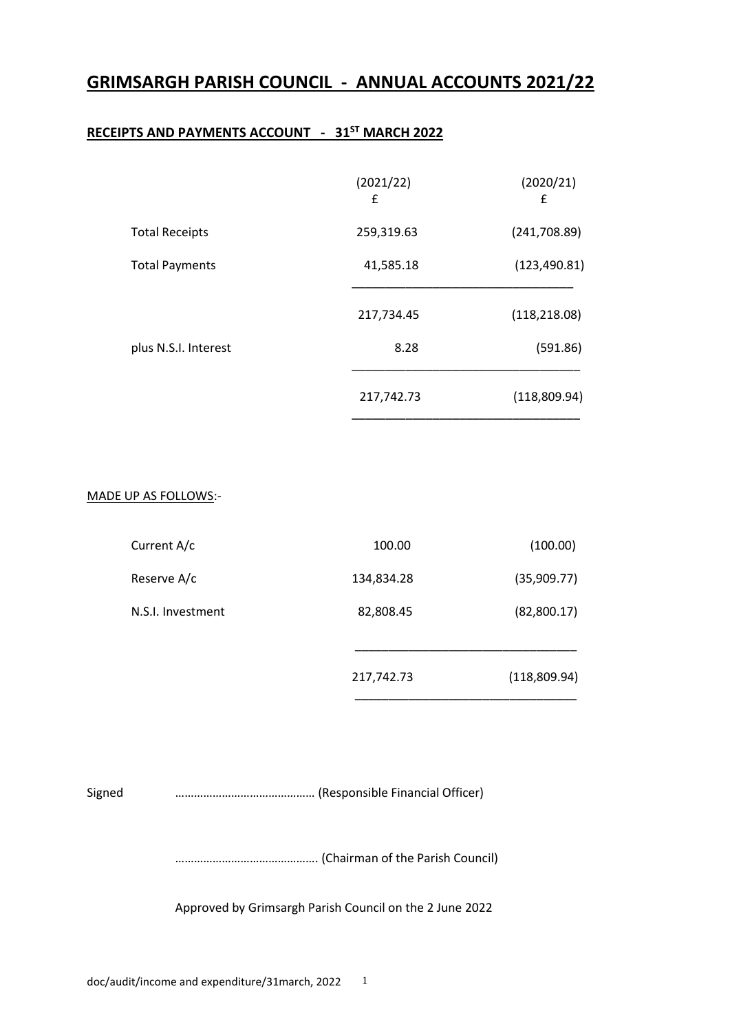# **GRIMSARGH PARISH COUNCIL - ANNUAL ACCOUNTS 2021/22**

## **RECEIPTS AND PAYMENTS ACCOUNT - 31ST MARCH 2022**

|                       | (2021/22)<br>£ | (2020/21)<br>£ |
|-----------------------|----------------|----------------|
| <b>Total Receipts</b> | 259,319.63     | (241,708.89)   |
| <b>Total Payments</b> | 41,585.18      | (123, 490.81)  |
|                       | 217,734.45     | (118, 218.08)  |
| plus N.S.I. Interest  | 8.28           | (591.86)       |
|                       | 217,742.73     | (118,809.94)   |

### MADE UP AS FOLLOWS:-

|                   | 217,742.73 | (118,809.94) |
|-------------------|------------|--------------|
| N.S.I. Investment | 82,808.45  | (82,800.17)  |
| Reserve A/c       | 134,834.28 | (35,909.77)  |
| Current A/c       | 100.00     | (100.00)     |

Signed ……………………………………… (Responsible Financial Officer)

………………………………………. (Chairman of the Parish Council)

Approved by Grimsargh Parish Council on the 2 June 2022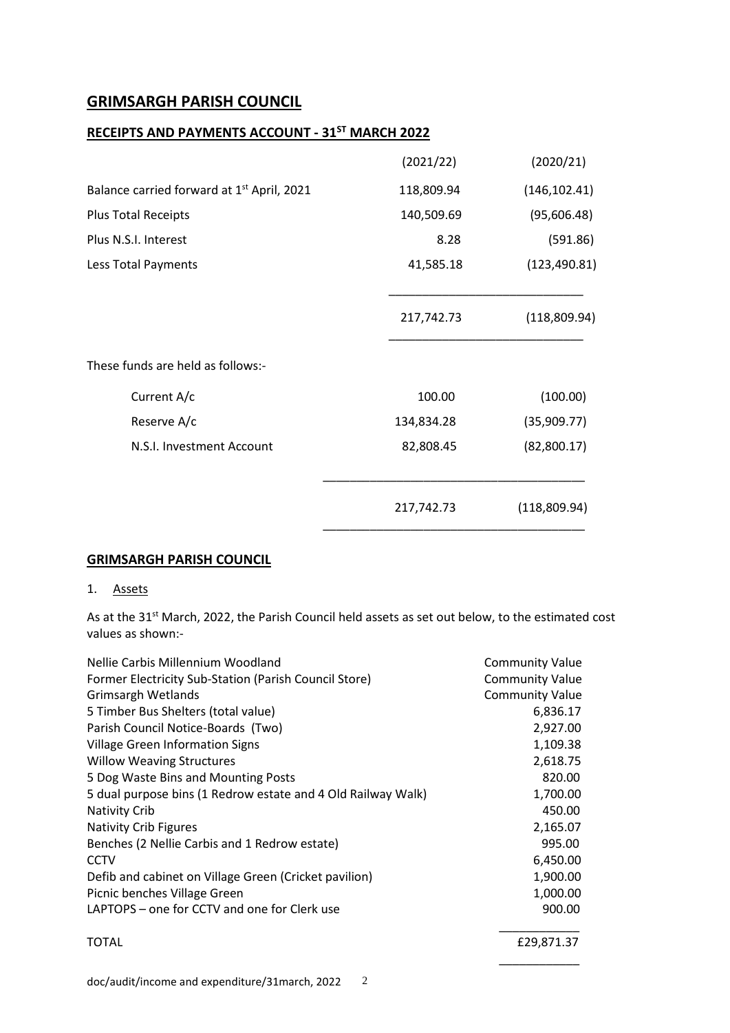### **GRIMSARGH PARISH COUNCIL**

### **RECEIPTS AND PAYMENTS ACCOUNT - 31ST MARCH 2022**

|                                                        | (2021/22)  | (2020/21)     |
|--------------------------------------------------------|------------|---------------|
| Balance carried forward at 1 <sup>st</sup> April, 2021 | 118,809.94 | (146, 102.41) |
| <b>Plus Total Receipts</b>                             | 140,509.69 | (95,606.48)   |
| Plus N.S.I. Interest                                   | 8.28       | (591.86)      |
| Less Total Payments                                    | 41,585.18  | (123, 490.81) |
|                                                        | 217,742.73 | (118,809.94)  |
| These funds are held as follows:-                      |            |               |
| Current A/c                                            | 100.00     | (100.00)      |
| Reserve A/c                                            | 134,834.28 | (35,909.77)   |
| N.S.I. Investment Account                              | 82,808.45  | (82,800.17)   |
|                                                        | 217,742.73 | (118,809.94)  |

### **GRIMSARGH PARISH COUNCIL**

#### 1. Assets

As at the 31<sup>st</sup> March, 2022, the Parish Council held assets as set out below, to the estimated cost values as shown:-

| Nellie Carbis Millennium Woodland                            | <b>Community Value</b> |  |
|--------------------------------------------------------------|------------------------|--|
| Former Electricity Sub-Station (Parish Council Store)        | <b>Community Value</b> |  |
| <b>Grimsargh Wetlands</b>                                    | <b>Community Value</b> |  |
| 5 Timber Bus Shelters (total value)                          | 6,836.17               |  |
| Parish Council Notice-Boards (Two)                           | 2,927.00               |  |
| <b>Village Green Information Signs</b>                       | 1,109.38               |  |
| <b>Willow Weaving Structures</b>                             | 2,618.75               |  |
| 5 Dog Waste Bins and Mounting Posts                          | 820.00                 |  |
| 5 dual purpose bins (1 Redrow estate and 4 Old Railway Walk) | 1,700.00               |  |
| <b>Nativity Crib</b>                                         | 450.00                 |  |
| <b>Nativity Crib Figures</b>                                 | 2,165.07               |  |
| Benches (2 Nellie Carbis and 1 Redrow estate)                | 995.00                 |  |
| <b>CCTV</b>                                                  | 6,450.00               |  |
| Defib and cabinet on Village Green (Cricket pavilion)        | 1,900.00               |  |
| Picnic benches Village Green                                 | 1,000.00               |  |
| LAPTOPS – one for CCTV and one for Clerk use                 | 900.00                 |  |
| <b>TOTAL</b>                                                 | £29,871.37             |  |

\_\_\_\_\_\_\_\_\_\_\_\_